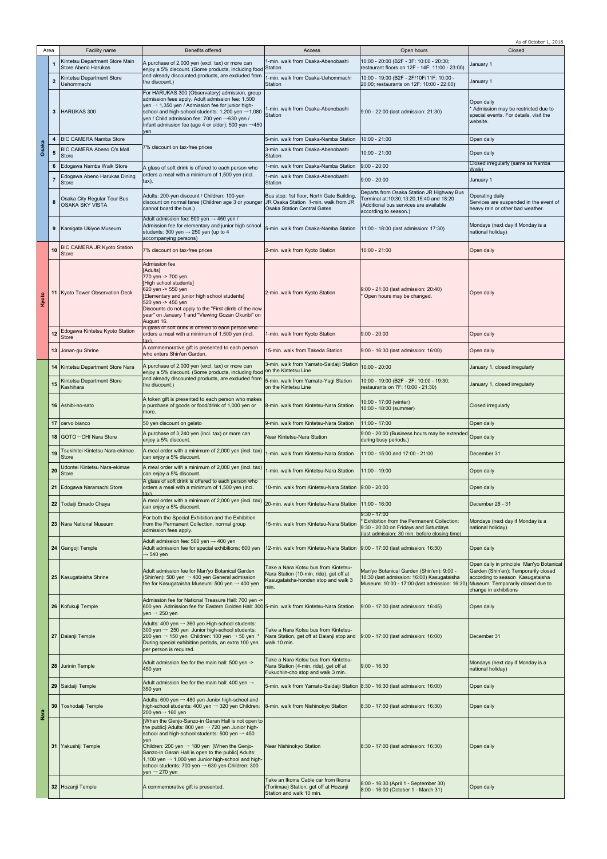|       |              |                                                          |                                                                                                                                                                                                                                                                                                                                                                                                                                                                |                                                                                                                                |                                                                                                                                                                            | As of October 1, 2018                                                                                                                         |
|-------|--------------|----------------------------------------------------------|----------------------------------------------------------------------------------------------------------------------------------------------------------------------------------------------------------------------------------------------------------------------------------------------------------------------------------------------------------------------------------------------------------------------------------------------------------------|--------------------------------------------------------------------------------------------------------------------------------|----------------------------------------------------------------------------------------------------------------------------------------------------------------------------|-----------------------------------------------------------------------------------------------------------------------------------------------|
|       | Area         | Facility name                                            | <b>Benefits offered</b>                                                                                                                                                                                                                                                                                                                                                                                                                                        | Access                                                                                                                         | Open hours                                                                                                                                                                 | Closed                                                                                                                                        |
|       | 1            | Kintetsu Department Store Main<br>Store Abeno Harukas    | A purchase of 2,000 yen (excl. tax) or more can<br>enjoy a 5% discount. (Some products, including food                                                                                                                                                                                                                                                                                                                                                         | 1-min. walk from Osaka-Abenobashi<br><b>Station</b>                                                                            | 10:00 - 20:00 (B2F - 3F: 10:00 - 20:30;<br>restaurant floors on 12F - 14F: 11:00 - 23:00)                                                                                  | January 1                                                                                                                                     |
|       | $\mathbf{2}$ | Kintetsu Department Store<br><b>Uehommachi</b>           | and already discounted products, are excluded from<br>the discount.)                                                                                                                                                                                                                                                                                                                                                                                           | 1-min. walk from Osaka-Uehommachi<br>Station                                                                                   | 10:00 - 19:00 (B2F - 2F/10F/11F: 10:00 -<br>20:00: restaurants on 12F: 10:00 - 22:00)                                                                                      | January 1                                                                                                                                     |
|       | 3            | <b>HARUKAS 300</b>                                       | For HARUKAS 300 (Observatory) admission, group<br>admission fees apply. Adult admission fee: 1,500<br>yen $\rightarrow$ 1,350 yen / Admission fee for junior high-<br>school and high-school students: 1,200 yen →1,080<br>yen / Child admission fee: 700 yen →630 yen /<br>Infant admission fee (age 4 or older): 500 yen →450                                                                                                                                | 1-min. walk from Osaka-Abenobashi<br>Station                                                                                   | 9:00 - 22:00 (last admission: 21:30)                                                                                                                                       | Open daily<br>* Admission may be restricted due to<br>special events. For details, visit the<br>website.                                      |
|       | 4            | <b>BIC CAMERA Namba Store</b>                            | ven                                                                                                                                                                                                                                                                                                                                                                                                                                                            | 5-min. walk from Osaka-Namba Station                                                                                           | 10:00 - 21:00                                                                                                                                                              | Open daily                                                                                                                                    |
| Osaka |              | BIC CAMERA Abeno Q's Mall                                | 7% discount on tax-free prices                                                                                                                                                                                                                                                                                                                                                                                                                                 | 3-min. walk from Osaka-Abenobashi                                                                                              |                                                                                                                                                                            |                                                                                                                                               |
|       | 5            | <b>Store</b>                                             |                                                                                                                                                                                                                                                                                                                                                                                                                                                                | Station                                                                                                                        | 10:00 - 21:00                                                                                                                                                              | Open daily<br>Closed irregularly (same as Namba                                                                                               |
|       | 6            | Edogawa Namba Walk Store<br>Edogawa Abeno Harukas Dining | A glass of soft drink is offered to each person who<br>orders a meal with a minimum of 1,500 yen (incl.                                                                                                                                                                                                                                                                                                                                                        | 1-min. walk from Osaka-Namba Station<br>1-min. walk from Osaka-Abenobashi                                                      | $9:00 - 20:00$                                                                                                                                                             | Walk).                                                                                                                                        |
|       |              | Store                                                    | $\mathsf{tax}$ ).                                                                                                                                                                                                                                                                                                                                                                                                                                              | Station                                                                                                                        | $9:00 - 20:00$                                                                                                                                                             | January 1                                                                                                                                     |
|       | 8            | Osaka City Regular Tour Bus<br><b>OSAKA SKY VISTA</b>    | Adults: 200-yen discount / Children: 100-yen<br>discount on normal fares (Children age 3 or younger<br>cannot board the bus.)                                                                                                                                                                                                                                                                                                                                  | Bus stop: 1st floor, North Gate Building<br>JR Osaka Station 1-min. walk from JR<br><b>Osaka Station Central Gates</b>         | Departs from Osaka Station JR Highway Bus<br>Ferminal at:10:30,13:20,15:40 and 18:20<br>(Additional bus services are available<br>according to season.)                    | Operating daily<br>Services are suspended in the event of<br>heavy rain or other bad weather.                                                 |
|       | 9            | Kamigata Ukiyoe Museum                                   | Adult admission fee: 500 yen $\rightarrow$ 450 yen /<br>Admission fee for elementary and junior high school<br>students: 300 yen $\rightarrow$ 250 yen (up to 4<br>accompanying persons)                                                                                                                                                                                                                                                                       | 5-min. walk from Osaka-Namba Station                                                                                           | 11:00 - 18:00 (last admission: 17:30)                                                                                                                                      | Mondays (next day if Monday is a<br>national holiday)                                                                                         |
|       | 10           | BIC CAMERA JR Kyoto Station<br><b>Store</b>              | 7% discount on tax-free prices                                                                                                                                                                                                                                                                                                                                                                                                                                 | 2-min. walk from Kyoto Station                                                                                                 | 10:00 - 21:00                                                                                                                                                              | Open daily                                                                                                                                    |
| Kyoto | 11           | Kyoto Tower Observation Deck                             | Admission fee<br>[Adults]<br>770 yen -> 700 yen<br>[High school students]<br>620 yen -> 550 yen<br>[Elementary and junior high school students]<br>520 yen -> 450 yen<br>Discounts do not apply to the "First climb of the new<br>year" on January 1 and "Viewing Gozan Okuribi" on<br>August 16.                                                                                                                                                              | 2-min. walk from Kyoto Station                                                                                                 | 9:00 - 21:00 (last admission: 20:40)<br>Open hours may be changed.                                                                                                         | Open daily                                                                                                                                    |
|       | 12           | Edogawa Kintetsu Kyoto Station<br><b>Store</b>           | A glass of soft drink is offered to each person who<br>orders a meal with a minimum of 1,500 yen (incl.<br>tax).                                                                                                                                                                                                                                                                                                                                               | 1-min. walk from Kyoto Station                                                                                                 | $9:00 - 20:00$                                                                                                                                                             | Open daily                                                                                                                                    |
|       |              | 13 Jonan-gu Shrine                                       | A commemorative gift is presented to each person<br>who enters Shin'en Garden.                                                                                                                                                                                                                                                                                                                                                                                 | 15-min. walk from Takeda Station                                                                                               | 9:00 - 16:30 (last admission: 16:00)                                                                                                                                       | Open daily                                                                                                                                    |
|       |              | 14 Kintetsu Department Store Nara                        | A purchase of 2,000 yen (excl. tax) or more can<br>enjoy a 5% discount. (Some products, including food                                                                                                                                                                                                                                                                                                                                                         | 3-min. walk from Yamato-Saidaiji Station 10:00 - 20:00<br>on the Kintetsu Line                                                 |                                                                                                                                                                            | January 1, closed irregularly                                                                                                                 |
|       | 15           | Kintetsu Department Store<br>Kashihara                   | and already discounted products, are excluded from<br>the discount.)                                                                                                                                                                                                                                                                                                                                                                                           | 5-min. walk from Yamato-Yagi Station<br>on the Kintetsu Line                                                                   | 10:00 - 19:00 (B2F - 2F: 10:00 - 19:30;<br>restaurants on 7F: 10:00 - 21:30)                                                                                               | January 1, closed irregularly                                                                                                                 |
|       |              | 16 Ashibi-no-sato                                        | A token gift is presented to each person who makes<br>a purchase of goods or food/drink of 1,000 yen or<br>more.                                                                                                                                                                                                                                                                                                                                               | 8-min. walk from Kintetsu-Nara Station                                                                                         | 10:00 - 17:00 (winter)<br>10:00 - 18:00 (summer)                                                                                                                           | <b>Closed irregularly</b>                                                                                                                     |
|       | 17           | cervo bianco                                             | 50 yen discount on gelato                                                                                                                                                                                                                                                                                                                                                                                                                                      | 9-min. walk from Kintetsu-Nara Station                                                                                         | $11:00 - 17:00$                                                                                                                                                            | Open daily                                                                                                                                    |
|       | 18           | <b>IGOTO-CHI Nara Store</b>                              | A purchase of 3,240 yen (incl. tax) or more can                                                                                                                                                                                                                                                                                                                                                                                                                | Near Kintetsu-Nara Station                                                                                                     | 9:00 - 20:00 (Business hours may be extended Open daily                                                                                                                    |                                                                                                                                               |
|       |              | Tsukihitei Kintetsu Nara-ekimae                          | enjoy a 5% discount.<br>A meal order with a minimum of 2,000 yen (incl. tax)                                                                                                                                                                                                                                                                                                                                                                                   |                                                                                                                                | during busy periods.)                                                                                                                                                      |                                                                                                                                               |
|       | 19           | <b>Store</b>                                             | can enjoy a 5% discount.                                                                                                                                                                                                                                                                                                                                                                                                                                       | 1-min. walk from Kintetsu-Nara Station                                                                                         | 11:00 - 15:00 and 17:00 - 21:00                                                                                                                                            | December 31                                                                                                                                   |
|       | 20           | Udontei Kintetsu Nara-ekimae<br><b>Store</b>             | A meal order with a minimum of 2,000 yen (incl. tax)<br>can enjoy a 5% discount.<br>A glass of soft drink is offered to each person who                                                                                                                                                                                                                                                                                                                        | 1-min. walk from Kintetsu-Nara Station                                                                                         | 11:00 - 19:00                                                                                                                                                              | Open daily                                                                                                                                    |
|       | 21           | Edogawa Naramachi Store                                  | orders a meal with a minimum of 1,500 yen (incl.                                                                                                                                                                                                                                                                                                                                                                                                               | 10-min. walk from Kintetsu-Nara Station                                                                                        | $9:00 - 20:00$                                                                                                                                                             | Open daily                                                                                                                                    |
|       | 22           | Todaiji Emado Chaya                                      | A meal order with a minimum of 2,000 yen (incl. tax)<br>can enjoy a 5% discount.                                                                                                                                                                                                                                                                                                                                                                               | 20-min. walk from Kintetsu-Nara Station 11:00 - 16:00                                                                          |                                                                                                                                                                            | December 28 - 31                                                                                                                              |
|       | 23           | Nara National Museum                                     | For both the Special Exhibition and the Exhibition<br>from the Permanent Collection, normal group<br>admission fees apply.                                                                                                                                                                                                                                                                                                                                     | 15-min. walk from Kintetsu-Nara Station                                                                                        | $9:30 - 17:00$<br>Exhibition from the Permanent Collection:<br>9:30 - 20:00 on Fridays and Saturdays<br>(last admission: 30 min. before closing time)                      | Mondays (next day if Monday is a<br>national holiday)                                                                                         |
|       | 24           | Gangoji Temple                                           | Adult admission fee: 500 yen $\rightarrow$ 400 yen<br>Adult admission fee for special exhibitions: 600 yen<br>→ 540 yen                                                                                                                                                                                                                                                                                                                                        | 12-min. walk from Kintetsu-Nara Station   9:00 - 17:00 (last admission: 16:30)                                                 |                                                                                                                                                                            | Open daily                                                                                                                                    |
| Nara  |              | 25 Kasugataisha Shrine                                   | Adult admission fee for Man'yo Botanical Garden<br>(Shin'en): 500 yen $\rightarrow$ 400 yen General admission<br>fee for Kasugataisha Museum: 500 yen → 400 yen                                                                                                                                                                                                                                                                                                | Take a Nara Kotsu bus from Kintetsu-<br>Nara Station (10-min. ride), get off at<br>Kasugataisha-honden stop and walk 3<br>min. | Man'yo Botanical Garden (Shin'en): 9:00 -<br>16:30 (last admission: 16:00) Kasugataisha<br>Museum: 10:00 - 17:00 (last admission: 16:30) Museum: Temporarily closed due to | Open daily in principle Man'yo Botanical<br>Garden (Shin'en): Temporarily closed<br>according to season Kasugataisha<br>change in exhibitions |
|       |              | 26 Kofukuji Temple                                       | Admission fee for National Treasure Hall: 700 yen -><br>600 yen Admission fee for Eastern Golden Hall: 300 5-min. walk from Kintetsu-Nara Station<br>yen $\rightarrow$ 250 yen                                                                                                                                                                                                                                                                                 |                                                                                                                                | 9:00 - 17:00 (last admission: 16:45)                                                                                                                                       | Open daily                                                                                                                                    |
|       |              | 27 Daianji Temple                                        | Adults: 400 yen → 360 yen High-school students:<br>300 yen $\rightarrow$ 250 yen Junior high-school students:<br>200 yen $\rightarrow$ 150 yen Children: 100 yen $\rightarrow$ 50 yen $*$<br>During special exhibition periods, an extra 100 yen<br>per person is required.                                                                                                                                                                                    | Take a Nara Kotsu bus from Kintetsu-<br>Nara Station, get off at Daianji stop and<br>walk 10 min.                              | 9:00 - 17:00 (last admission: 16:00)                                                                                                                                       | December 31                                                                                                                                   |
|       |              | 28 Jurinin Temple                                        | Adult admission fee for the main hall: 500 yen -><br>450 yen                                                                                                                                                                                                                                                                                                                                                                                                   | <b>Take a Nara Kotsu bus from Kintetsu-</b><br>Nara Station (4-min. ride), get off at<br>Fukuchiin-cho stop and walk 3 min.    | $9:00 - 16:30$                                                                                                                                                             | Mondays (next day if Monday is a<br>national holiday)                                                                                         |
|       | 29           | Saidaiji Temple                                          | Adult admission fee for the main hall: 400 yen $\rightarrow$<br>350 yen                                                                                                                                                                                                                                                                                                                                                                                        | 5-min. walk from Yamato-Saidaiji Station 8:30 - 16:30 (last admission: 16:00)                                                  |                                                                                                                                                                            | Open daily                                                                                                                                    |
|       | 30           | Toshodaiji Temple                                        | Adults: 600 yen $\rightarrow$ 480 yen Junior high-school and<br>high-school students: 400 yen $\rightarrow$ 320 yen Children:<br>200 yen→ 160 yen                                                                                                                                                                                                                                                                                                              | 8-min. walk from Nishinokyo Station                                                                                            | 8:30 - 17:00 (last admission: 16:30)                                                                                                                                       | Open daily                                                                                                                                    |
|       |              | 31 Yakushiji Temple                                      | [When the Genjo-Sanzo-in Garan Hall is not open to<br>the public] Adults: 800 yen $\rightarrow$ 720 yen Junior high-<br>school and high-school students: 500 yen $\rightarrow$ 450<br>ven<br>Children: 200 yen $\rightarrow$ 180 yen [When the Genjo-<br>Sanzo-in Garan Hall is open to the public] Adults:<br>1,100 yen $\rightarrow$ 1,000 yen Junior high-school and high-<br>school students: 700 yen → 630 yen Children: 300<br>yen $\rightarrow$ 270 yen | Near Nishinokyo Station                                                                                                        | 8:30 - 17:00 (last admission: 16:30)                                                                                                                                       | Open daily                                                                                                                                    |
|       |              | 32 Hozanji Temple                                        | A commemorative gift is presented.                                                                                                                                                                                                                                                                                                                                                                                                                             | Take an Ikoma Cable car from Ikoma<br>(Toriimae) Station, get off at Hozanji<br>Station and walk 10 min.                       | 8:00 - 16:30 (April 1 - September 30)<br>8:00 - 16:00 (October 1 - March 31)                                                                                               | Open daily                                                                                                                                    |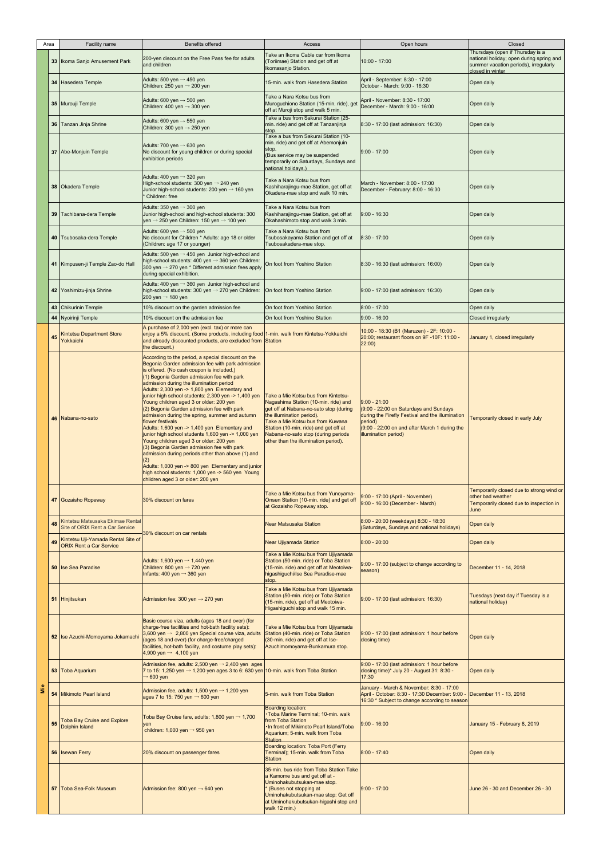|     | Area | Facility name                                                        | <b>Benefits offered</b>                                                                                                                                                                                                                                                                                                                                                                                                                                                                                                                                                                                                                                                                                                                                                                                                                                                                                                  | Access                                                                                                                                                                                                                                                                                                         | Open hours                                                                                                                                                                                       | Closed                                                                                                                                    |
|-----|------|----------------------------------------------------------------------|--------------------------------------------------------------------------------------------------------------------------------------------------------------------------------------------------------------------------------------------------------------------------------------------------------------------------------------------------------------------------------------------------------------------------------------------------------------------------------------------------------------------------------------------------------------------------------------------------------------------------------------------------------------------------------------------------------------------------------------------------------------------------------------------------------------------------------------------------------------------------------------------------------------------------|----------------------------------------------------------------------------------------------------------------------------------------------------------------------------------------------------------------------------------------------------------------------------------------------------------------|--------------------------------------------------------------------------------------------------------------------------------------------------------------------------------------------------|-------------------------------------------------------------------------------------------------------------------------------------------|
|     |      | 33   Ikoma Sanjo Amusement Park                                      | 200-yen discount on the Free Pass fee for adults<br>and children                                                                                                                                                                                                                                                                                                                                                                                                                                                                                                                                                                                                                                                                                                                                                                                                                                                         | Take an Ikoma Cable car from Ikoma<br>(Toriimae) Station and get off at<br>Ikomasanjo Station.                                                                                                                                                                                                                 | $10:00 - 17:00$                                                                                                                                                                                  | Thursdays (open if Thursday is a<br>national holiday; open during spring and<br>summer vacation periods), irregularly<br>closed in winter |
|     |      | 34 Hasedera Temple                                                   | Adults: 500 yen $\rightarrow$ 450 yen<br>Children: 250 yen $\rightarrow$ 200 yen                                                                                                                                                                                                                                                                                                                                                                                                                                                                                                                                                                                                                                                                                                                                                                                                                                         | 15-min. walk from Hasedera Station                                                                                                                                                                                                                                                                             | April - September: 8:30 - 17:00<br>October - March: 9:00 - 16:30                                                                                                                                 | Open daily                                                                                                                                |
|     |      | 35 Murouji Temple                                                    | Adults: 600 yen $\rightarrow$ 500 yen<br>Children: 400 yen $\rightarrow$ 300 yen                                                                                                                                                                                                                                                                                                                                                                                                                                                                                                                                                                                                                                                                                                                                                                                                                                         | Take a Nara Kotsu bus from<br>Muroguchiono Station (15-min. ride), get<br>off at Muroji stop and walk 5 min.                                                                                                                                                                                                   | April - November: 8:30 - 17:00<br>December - March: 9:00 - 16:00                                                                                                                                 | Open daily                                                                                                                                |
|     |      | 36 Tanzan Jinja Shrine                                               | Adults: 600 yen $\rightarrow$ 550 yen<br>Children: 300 yen $\rightarrow$ 250 yen                                                                                                                                                                                                                                                                                                                                                                                                                                                                                                                                                                                                                                                                                                                                                                                                                                         | Take a bus from Sakurai Station (25-<br>min. ride) and get off at Tanzanjinja<br>stop.                                                                                                                                                                                                                         | 8:30 - 17:00 (last admission: 16:30)                                                                                                                                                             | Open daily                                                                                                                                |
|     |      | 37 Abe-Monjuin Temple                                                | Adults: 700 yen $\rightarrow$ 630 yen<br>No discount for young children or during special<br>exhibition periods                                                                                                                                                                                                                                                                                                                                                                                                                                                                                                                                                                                                                                                                                                                                                                                                          | Take a bus from Sakurai Station (10-<br>min. ride) and get off at Abemonjuin<br>stop.<br>(Bus service may be suspended<br>temporarily on Saturdays, Sundays and<br>national holidays.)                                                                                                                         | $9:00 - 17:00$                                                                                                                                                                                   | Open daily                                                                                                                                |
|     |      | 38 Okadera Temple                                                    | Adults: 400 yen $\rightarrow$ 320 yen<br>High-school students: 300 yen → 240 yen<br>Junior high-school students: 200 yen → 160 yen<br>Children: free                                                                                                                                                                                                                                                                                                                                                                                                                                                                                                                                                                                                                                                                                                                                                                     | Take a Nara Kotsu bus from<br>Kashiharajingu-mae Station, get off at<br>Okadera-mae stop and walk 10 min.                                                                                                                                                                                                      | March - November: 8:00 - 17:00<br>December - February: 8:00 - 16:30                                                                                                                              | Open daily                                                                                                                                |
|     |      | 39 Tachibana-dera Temple                                             | Adults: 350 yen $\rightarrow$ 300 yen<br>Junior high-school and high-school students: 300<br>yen → 250 yen Children: 150 yen → 100 yen                                                                                                                                                                                                                                                                                                                                                                                                                                                                                                                                                                                                                                                                                                                                                                                   | Take a Nara Kotsu bus from<br>Kashiharajingu-mae Station, get off at<br>Okahashimoto stop and walk 3 min.                                                                                                                                                                                                      | $9:00 - 16:30$                                                                                                                                                                                   | Open daily                                                                                                                                |
|     |      | 40 Tsubosaka-dera Temple                                             | Adults: 600 yen $\rightarrow$ 500 yen<br>No discount for Children * Adults: age 18 or older<br>(Children: age 17 or younger)                                                                                                                                                                                                                                                                                                                                                                                                                                                                                                                                                                                                                                                                                                                                                                                             | Take a Nara Kotsu bus from<br>Tsubosakayama Station and get off at<br>Tsubosakadera-mae stop.                                                                                                                                                                                                                  | 8:30 - 17:00                                                                                                                                                                                     | Open daily                                                                                                                                |
|     |      | 41 Kimpusen-ji Temple Zao-do Hall                                    | Adults: 500 yen $\rightarrow$ 450 yen Junior high-school and<br>high-school students: 400 yen → 360 yen Children:<br>300 yen → 270 yen * Different admission fees apply<br>during special exhibition.                                                                                                                                                                                                                                                                                                                                                                                                                                                                                                                                                                                                                                                                                                                    | On foot from Yoshino Station                                                                                                                                                                                                                                                                                   | 8:30 - 16:30 (last admission: 16:00)                                                                                                                                                             | Open daily                                                                                                                                |
|     |      | 42 Yoshimizu-jinja Shrine                                            | Adults: 400 yen $\rightarrow$ 360 yen Junior high-school and<br>high-school students: 300 yen $\rightarrow$ 270 yen Children:<br>200 yen $\rightarrow$ 180 yen                                                                                                                                                                                                                                                                                                                                                                                                                                                                                                                                                                                                                                                                                                                                                           | On foot from Yoshino Station                                                                                                                                                                                                                                                                                   | 9:00 - 17:00 (last admission: 16:30)                                                                                                                                                             | Open daily                                                                                                                                |
|     | 43   | <b>Chikurinin Temple</b>                                             | 10% discount on the garden admission fee                                                                                                                                                                                                                                                                                                                                                                                                                                                                                                                                                                                                                                                                                                                                                                                                                                                                                 | On foot from Yoshino Station                                                                                                                                                                                                                                                                                   | $8:00 - 17:00$                                                                                                                                                                                   | Open daily                                                                                                                                |
|     |      | 44 Nyoirinji Temple                                                  | 10% discount on the admission fee                                                                                                                                                                                                                                                                                                                                                                                                                                                                                                                                                                                                                                                                                                                                                                                                                                                                                        | On foot from Yoshino Station                                                                                                                                                                                                                                                                                   | $9:00 - 16:00$                                                                                                                                                                                   | <b>Closed irregularly</b>                                                                                                                 |
|     | 45   | <b>Kintetsu Department Store</b><br>Yokkaichi                        | A purchase of 2,000 yen (excl. tax) or more can<br>enjoy a 5% discount. (Some products, including food 1-min. walk from Kintetsu-Yokkaichi<br>and already discounted products, are excluded from Station<br>the discount.)                                                                                                                                                                                                                                                                                                                                                                                                                                                                                                                                                                                                                                                                                               |                                                                                                                                                                                                                                                                                                                | 10:00 - 18:30 (B1 (Maruzen) - 2F: 10:00 -<br>20:00; restaurant floors on 9F-10F: 11:00 -<br>22:00)                                                                                               | January 1, closed irregularly                                                                                                             |
|     |      | 46 Nabana-no-sato                                                    | According to the period, a special discount on the<br>Begonia Garden admission fee with park admission<br>is offered. (No cash coupon is included.)<br>(1) Begonia Garden admission fee with park<br>admission during the illumination period<br>Adults: 2,300 yen -> 1,800 yen Elementary and<br>junior high school students: 2,300 yen -> 1,400 yen<br>Young children aged 3 or older: 200 yen<br>(2) Begonia Garden admission fee with park<br>admission during the spring, summer and autumn<br>flower festivals<br>Adults: 1,600 yen -> 1,400 yen Elementary and<br>junior high school students 1,600 yen -> 1,000 yen<br>Young children aged 3 or older: 200 yen<br>(3) Begonia Garden admission fee with park<br>admission during periods other than above (1) and<br>Adults: 1,000 yen -> 800 yen Elementary and junior<br>high school students: 1,000 yen -> 560 yen Young<br>children aged 3 or older: 200 yen | Take a Mie Kotsu bus from Kintetsu-<br>Nagashima Station (10-min. ride) and<br>get off at Nabana-no-sato stop (during<br>the illumination period).<br>Take a Mie Kotsu bus from Kuwana<br>Station (10-min. ride) and get off at<br>Nabana-no-sato stop (during periods<br>other than the illumination period). | $9:00 - 21:00$<br>(9:00 - 22:00 on Saturdays and Sundays<br>during the Firefly Festival and the illumination<br>period)<br>(9:00 - 22:00 on and after March 1 during the<br>illumination period) | Temporarily closed in early July                                                                                                          |
|     |      | 47 Gozaisho Ropeway                                                  | 30% discount on fares                                                                                                                                                                                                                                                                                                                                                                                                                                                                                                                                                                                                                                                                                                                                                                                                                                                                                                    | Take a Mie Kotsu bus from Yunoyama-<br>Onsen Station (10-min. ride) and get off<br>at Gozaisho Ropeway stop.                                                                                                                                                                                                   | 9:00 - 17:00 (April - November)<br>9:00 - 16:00 (December - March)                                                                                                                               | Temporarily closed due to strong wind or<br>other bad weather<br>Temporarily closed due to inspection in<br>June                          |
|     | 48   | Kintetsu Matsusaka Ekimae Rental<br>Site of ORIX Rent a Car Service  |                                                                                                                                                                                                                                                                                                                                                                                                                                                                                                                                                                                                                                                                                                                                                                                                                                                                                                                          | <b>Near Matsusaka Station</b>                                                                                                                                                                                                                                                                                  | 8:00 - 20:00 (weekdays) 8:30 - 18:30<br>(Saturdays, Sundays and national holidays)                                                                                                               | Open daily                                                                                                                                |
|     | 49   | Kintetsu Uji-Yamada Rental Site of<br><b>ORIX Rent a Car Service</b> | 30% discount on car rentals                                                                                                                                                                                                                                                                                                                                                                                                                                                                                                                                                                                                                                                                                                                                                                                                                                                                                              | <b>Near Ujiyamada Station</b>                                                                                                                                                                                                                                                                                  | $8:00 - 20:00$                                                                                                                                                                                   | Open daily                                                                                                                                |
|     |      | <b>50 Ise Sea Paradise</b>                                           | Adults: 1,600 yen $\rightarrow$ 1,440 yen<br>Children: 800 yen $\rightarrow$ 720 yen<br>Infants: 400 yen $\rightarrow$ 360 yen                                                                                                                                                                                                                                                                                                                                                                                                                                                                                                                                                                                                                                                                                                                                                                                           | Take a Mie Kotsu bus from Ujiyamada<br>Station (50-min. ride) or Toba Station<br>(15-min. ride) and get off at Meotoiwa-<br>higashiguchi/Ise Sea Paradise-mae<br>stop.                                                                                                                                         | 9:00 - 17:00 (subject to change according to<br>season)                                                                                                                                          | December 11 - 14, 2018                                                                                                                    |
|     |      | 51 Hinjitsukan                                                       | Admission fee: 300 yen $\rightarrow$ 270 yen                                                                                                                                                                                                                                                                                                                                                                                                                                                                                                                                                                                                                                                                                                                                                                                                                                                                             | Take a Mie Kotsu bus from Ujiyamada<br>Station (50-min. ride) or Toba Station<br>(15-min. ride), get off at Meotoiwa-<br>Higashiguchi stop and walk 15 min.                                                                                                                                                    | 9:00 - 17:00 (last admission: 16:30)                                                                                                                                                             | Tuesdays (next day if Tuesday is a<br>national holiday)                                                                                   |
|     |      | 52 Ise Azuchi-Momoyama Jokamach                                      | Basic course viza, adults (ages 18 and over) (for<br>charge-free facilities and hot-bath facility sets):<br>3,600 yen $\rightarrow$ 2,800 yen Special course viza, adults<br>(ages 18 and over) (for charge-free/charged<br>facilities, hot-bath facility, and costume play sets):<br>4,900 yen $\rightarrow$ 4,100 yen                                                                                                                                                                                                                                                                                                                                                                                                                                                                                                                                                                                                  | Take a Mie Kotsu bus from Ujiyamada<br>Station (40-min. ride) or Toba Station<br>(30-min. ride) and get off at Ise-<br>Azuchimomoyama-Bunkamura stop.                                                                                                                                                          | 9:00 - 17:00 (last admission: 1 hour before<br>closing time)                                                                                                                                     | Open daily                                                                                                                                |
|     |      | 53 Toba Aquarium                                                     | Admission fee, adults: 2,500 yen $\rightarrow$ 2,400 yen ages<br>7 to 15: 1,250 yen $\rightarrow$ 1,200 yen ages 3 to 6: 630 yen 10-min. walk from Toba Station<br>$\rightarrow 600$ yen                                                                                                                                                                                                                                                                                                                                                                                                                                                                                                                                                                                                                                                                                                                                 |                                                                                                                                                                                                                                                                                                                | 9:00 - 17:00 (last admission: 1 hour before<br>closing time)* July 20 - August 31: 8:30 -<br>17:30                                                                                               | Open daily                                                                                                                                |
| Nie |      | 54 Mikimoto Pearl Island                                             | Admission fee, adults: 1,500 yen $\rightarrow$ 1,200 yen<br>ages 7 to 15: 750 yen $\rightarrow$ 600 yen                                                                                                                                                                                                                                                                                                                                                                                                                                                                                                                                                                                                                                                                                                                                                                                                                  | 5-min, walk from Toba Station                                                                                                                                                                                                                                                                                  | January - March & November: 8:30 - 17:00<br>April - October: 8:30 - 17:30 December: 9:00 -<br>16:30 * Subject to change according to season                                                      | December 11 - 13, 2018                                                                                                                    |
|     | 55   | <b>Toba Bay Cruise and Explore</b><br>Dolphin Island                 | Toba Bay Cruise fare, adults: 1,800 yen $\rightarrow$ 1,700<br>ven<br>children: 1,000 yen $\rightarrow$ 950 yen                                                                                                                                                                                                                                                                                                                                                                                                                                                                                                                                                                                                                                                                                                                                                                                                          | <b>Boarding location:</b><br>· Toba Marine Terminal; 10-min. walk<br>from Toba Station<br>In front of Mikimoto Pearl Island/Toba<br>Aquarium; 5-min. walk from Toba<br><b>Station</b>                                                                                                                          | $9:00 - 16:00$                                                                                                                                                                                   | January 15 - February 8, 2019                                                                                                             |
|     |      | 56 Isewan Ferry                                                      | 20% discount on passenger fares                                                                                                                                                                                                                                                                                                                                                                                                                                                                                                                                                                                                                                                                                                                                                                                                                                                                                          | <b>Boarding location: Toba Port (Ferry</b><br>Terminal); 15-min. walk from Toba<br>Station                                                                                                                                                                                                                     | $8:00 - 17:40$                                                                                                                                                                                   | Open daily                                                                                                                                |
|     |      | 57 Toba Sea-Folk Museum                                              | Admission fee: 800 yen $\rightarrow$ 640 yen                                                                                                                                                                                                                                                                                                                                                                                                                                                                                                                                                                                                                                                                                                                                                                                                                                                                             | 35-min. bus ride from Toba Station Take<br>a Kamome bus and get off at -<br>Uminohakubutsukan-mae stop.<br>(Buses not stopping at<br>Uminohakubutsukan-mae stop: Get off<br>at Uminohakubutsukan-higashi stop and<br>walk 12 min.)                                                                             | $9:00 - 17:00$                                                                                                                                                                                   | June 26 - 30 and December 26 - 30                                                                                                         |